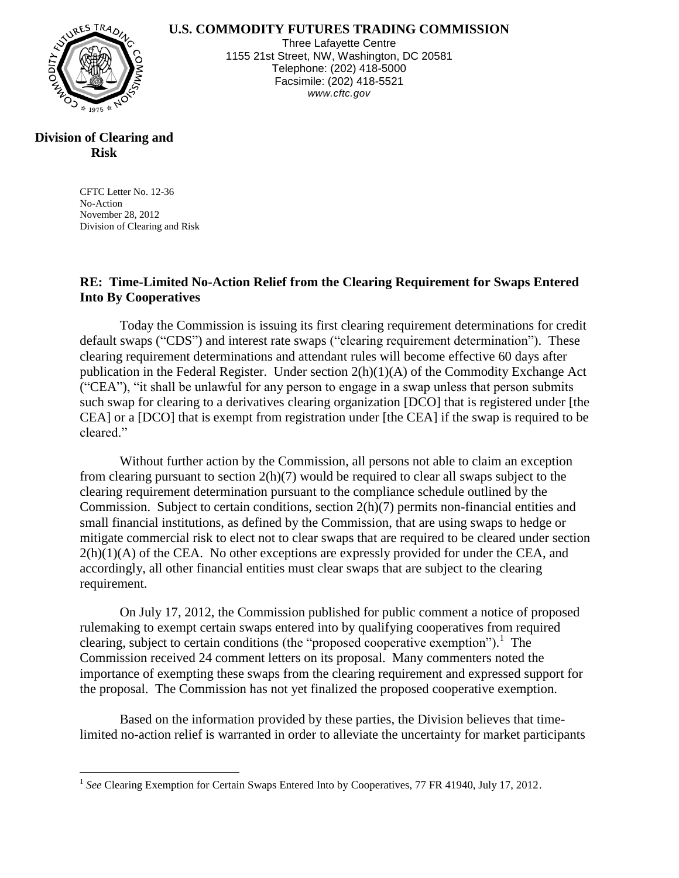**U.S. COMMODITY FUTURES TRADING COMMISSION**



Three Lafayette Centre 1155 21st Street, NW, Washington, DC 20581 Telephone: (202) 418-5000 Facsimile: (202) 418-5521 *www.cftc.gov*

## **Division of Clearing and Risk**

 $\overline{a}$ 

CFTC Letter No. 12-36 No-Action November 28, 2012 Division of Clearing and Risk

## **RE: Time-Limited No-Action Relief from the Clearing Requirement for Swaps Entered Into By Cooperatives**

Today the Commission is issuing its first clearing requirement determinations for credit default swaps ("CDS") and interest rate swaps ("clearing requirement determination"). These clearing requirement determinations and attendant rules will become effective 60 days after publication in the Federal Register. Under section 2(h)(1)(A) of the Commodity Exchange Act ("CEA"), "it shall be unlawful for any person to engage in a swap unless that person submits such swap for clearing to a derivatives clearing organization [DCO] that is registered under [the CEA] or a [DCO] that is exempt from registration under [the CEA] if the swap is required to be cleared."

Without further action by the Commission, all persons not able to claim an exception from clearing pursuant to section 2(h)(7) would be required to clear all swaps subject to the clearing requirement determination pursuant to the compliance schedule outlined by the Commission. Subject to certain conditions, section 2(h)(7) permits non-financial entities and small financial institutions, as defined by the Commission, that are using swaps to hedge or mitigate commercial risk to elect not to clear swaps that are required to be cleared under section  $2(h)(1)(A)$  of the CEA. No other exceptions are expressly provided for under the CEA, and accordingly, all other financial entities must clear swaps that are subject to the clearing requirement.

On July 17, 2012, the Commission published for public comment a notice of proposed rulemaking to exempt certain swaps entered into by qualifying cooperatives from required clearing, subject to certain conditions (the "proposed cooperative exemption"). 1 The Commission received 24 comment letters on its proposal. Many commenters noted the importance of exempting these swaps from the clearing requirement and expressed support for the proposal. The Commission has not yet finalized the proposed cooperative exemption.

Based on the information provided by these parties, the Division believes that timelimited no-action relief is warranted in order to alleviate the uncertainty for market participants

<sup>&</sup>lt;sup>1</sup> See Clearing Exemption for Certain Swaps Entered Into by Cooperatives, 77 FR 41940, July 17, 2012.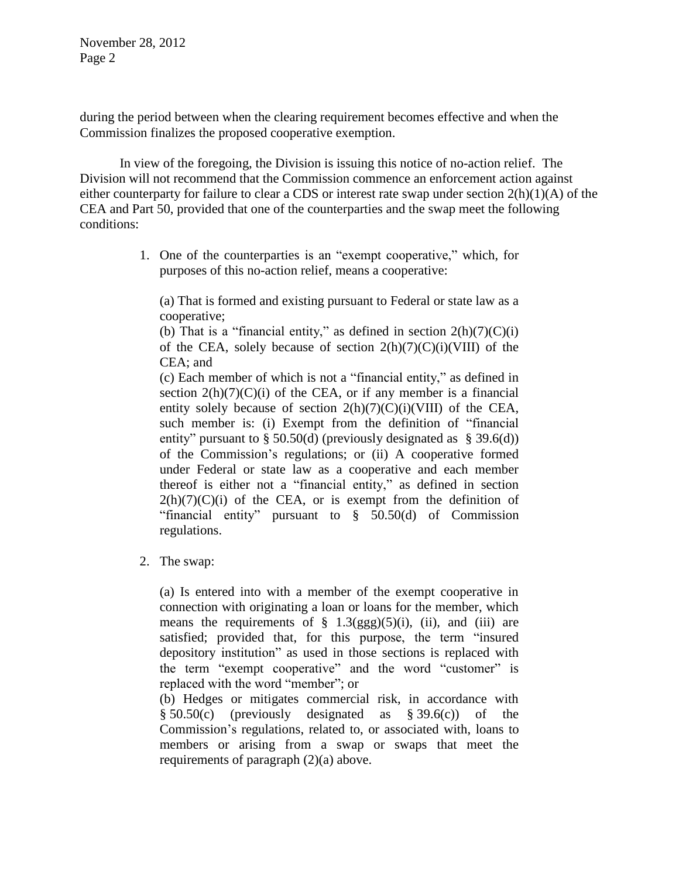November 28, 2012 Page 2

during the period between when the clearing requirement becomes effective and when the Commission finalizes the proposed cooperative exemption.

In view of the foregoing, the Division is issuing this notice of no-action relief. The Division will not recommend that the Commission commence an enforcement action against either counterparty for failure to clear a CDS or interest rate swap under section 2(h)(1)(A) of the CEA and Part 50, provided that one of the counterparties and the swap meet the following conditions:

> 1. One of the counterparties is an "exempt cooperative," which, for purposes of this no-action relief, means a cooperative:

(a) That is formed and existing pursuant to Federal or state law as a cooperative;

(b) That is a "financial entity," as defined in section  $2(h)(7)(C)(i)$ of the CEA, solely because of section  $2(h)(7)(C)(i)(VIII)$  of the CEA; and

(c) Each member of which is not a "financial entity," as defined in section  $2(h)(7)(C)(i)$  of the CEA, or if any member is a financial entity solely because of section  $2(h)(7)(C)(i)(VIII)$  of the CEA, such member is: (i) Exempt from the definition of "financial entity" pursuant to § 50.50(d) (previously designated as § 39.6(d)) of the Commission's regulations; or (ii) A cooperative formed under Federal or state law as a cooperative and each member thereof is either not a "financial entity," as defined in section  $2(h)(7)(C)(i)$  of the CEA, or is exempt from the definition of "financial entity" pursuant to § 50.50(d) of Commission regulations.

2. The swap:

(a) Is entered into with a member of the exempt cooperative in connection with originating a loan or loans for the member, which means the requirements of  $\S$  1.3(ggg)(5)(i), (ii), and (iii) are satisfied; provided that, for this purpose, the term "insured depository institution" as used in those sections is replaced with the term "exempt cooperative" and the word "customer" is replaced with the word "member"; or

(b) Hedges or mitigates commercial risk, in accordance with  $§ 50.50(c)$  (previously designated as  $§ 39.6(c)$ ) of the Commission's regulations, related to, or associated with, loans to members or arising from a swap or swaps that meet the requirements of paragraph (2)(a) above.